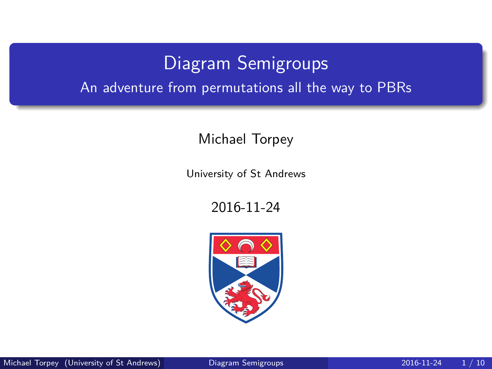# Diagram Semigroups

<span id="page-0-0"></span>An adventure from permutations all the way to PBRs

Michael Torpey

University of St Andrews

2016-11-24

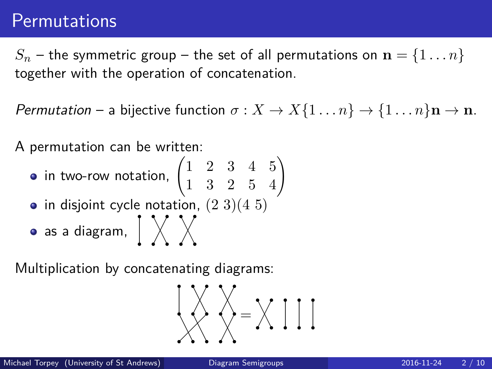### **Permutations**

 $S_n$  – the symmetric group – the set of all permutations on  $\mathbf{n} = \{1 \dots n\}$ together with the operation of concatenation.

Permutation – a bijective function  $\sigma : X \to X\{1 \dots n\} \to \{1 \dots n\}$ **n**  $\to$  **n**.

A permutation can be written:

- in two-row notation,  $\begin{pmatrix} 1 & 2 & 3 & 4 & 5 \ 1 & 3 & 2 & 5 & 4 \end{pmatrix}$
- $\bullet$  in disjoint cycle notation,  $(2\ 3)(4\ 5)$
- $\bullet$  as a diagram,  $\int \sqrt{\phantom{a}} \times$

Multiplication by concatenating diagrams:

$$
\bigcup_{i=1}^{n} \bigotimes_{i=1}^{n} X_{i} = X_{i} \text{ and } X_{i} = X_{i} \text{ and } X_{i} = X_{i} \text{ and } X_{i} = X_{i} \text{ and } X_{i} = X_{i} \text{ and } X_{i} = X_{i} \text{ and } X_{i} = X_{i} \text{ and } X_{i} = X_{i} \text{ and } X_{i} = X_{i} \text{ and } X_{i} = X_{i} \text{ and } X_{i} = X_{i} \text{ and } X_{i} = X_{i} \text{ and } X_{i} = X_{i} \text{ and } X_{i} = X_{i} \text{ and } X_{i} = X_{i} \text{ and } X_{i} = X_{i} \text{ and } X_{i} = X_{i} \text{ and } X_{i} = X_{i} \text{ and } X_{i} = X_{i} \text{ and } X_{i} = X_{i} \text{ and } X_{i} = X_{i} \text{ and } X_{i} = X_{i} \text{ and } X_{i} = X_{i} \text{ and } X_{i} = X_{i} \text{ and } X_{i} = X_{i} \text{ and } X_{i} = X_{i} \text{ and } X_{i} = X_{i} \text{ and } X_{i} = X_{i} \text{ and } X_{i} = X_{i} \text{ and } X_{i} = X_{i} \text{ and } X_{i} = X_{i} \text{ and } X_{i} = X_{i} \text{ and } X_{i} = X_{i} \text{ and } X_{i} = X_{i} \text{ and } X_{i} = X_{i} \text{ and } X_{i} = X_{i} \text{ and } X_{i} = X_{i} \text{ and } X_{i} = X_{i} \text{ and } X_{i} = X_{i} \text{ and } X_{i} = X_{i} \text{ and } X_{i} = X_{i} \text{ and } X_{i} = X_{i} \text{ and } X_{i} = X_{i} \text{ and } X_{i} = X_{i} \text{ and } X_{i} = X_{i} \text{ and } X_{i} = X_{i} \text{ and } X_{i} = X_{i} \text{ and } X_{i} = X_{i} \text{ and } X_{i} = X_{i} \text{ and } X_{i} = X_{i} \text{ and } X_{i} = X_{i} \text{ and } X_{i} = X_{i} \text{ and } X_{i} = X_{i}
$$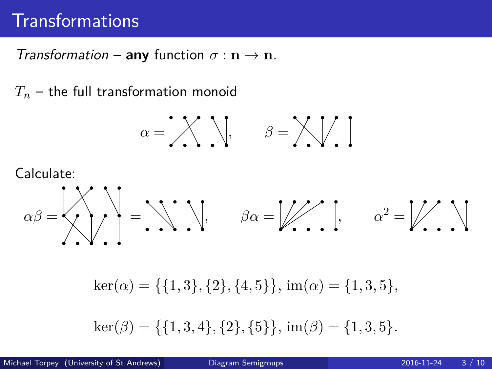## **Transformations**

Transformation – **any** function  $\sigma : \mathbf{n} \to \mathbf{n}$ .

*T<sup>n</sup>* – the full transformation monoid

$$
\alpha = \begin{bmatrix} 1 & 1 \\ 1 & 1 \end{bmatrix}, \qquad \beta = \begin{bmatrix} 1 & 1 \\ 1 & 1 \end{bmatrix}
$$

Calculate:

*αβ* = = *, βα* = *, α*<sup>2</sup> =

 $\ker(\alpha) = \{\{1,3\},\{2\},\{4,5\}\}, \text{im}(\alpha) = \{1,3,5\},\$ 

$$
\ker(\beta) = \{\{1, 3, 4\}, \{2\}, \{5\}\}, \, \text{im}(\beta) = \{1, 3, 5\}.
$$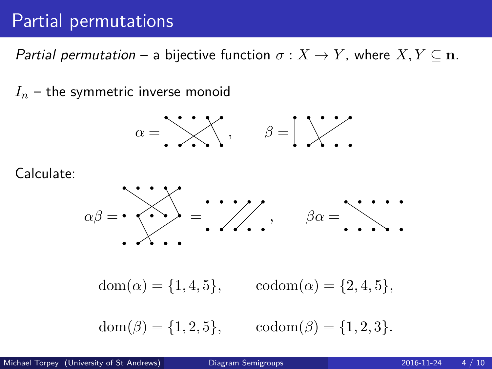### Partial permutations

Partial permutation – a bijective function  $\sigma: X \to Y$ , where  $X, Y \subseteq \mathbf{n}$ .

 $I_n$  – the symmetric inverse monoid



Calculate:



 $dom(\alpha) = \{1, 4, 5\},$   $codom(\alpha) = \{2, 4, 5\},$ 

 $dom(\beta) = \{1, 2, 5\},$   $codom(\beta) = \{1, 2, 3\}.$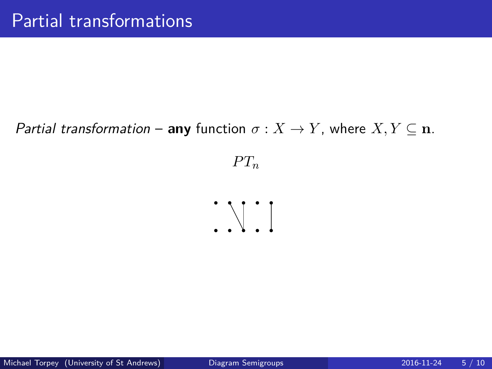#### Partial transformation – **any** function  $\sigma : X \to Y$ , where  $X, Y \subseteq n$ .

 $PT_n$ 

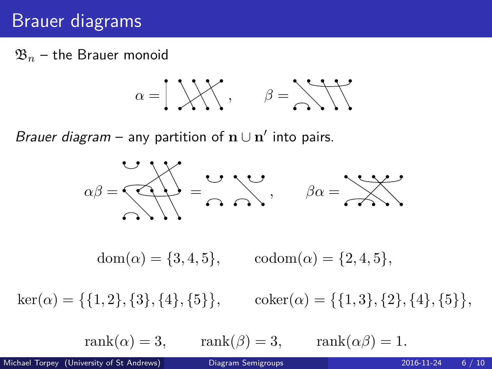## Brauer diagrams

 $\mathfrak{B}_n$  – the Brauer monoid

$$
\alpha = \begin{bmatrix} 1 & \cdots & \cdots \\ 1 & \cdots & \cdots \end{bmatrix}, \quad \beta = \begin{bmatrix} 1 & \cdots & \cdots \\ 0 & \cdots & \cdots \\ 0 & 1 & \cdots & \cdots \end{bmatrix}
$$

Brauer diagram – any partition of  $\mathbf{n} \cup \mathbf{n}'$  into pairs.

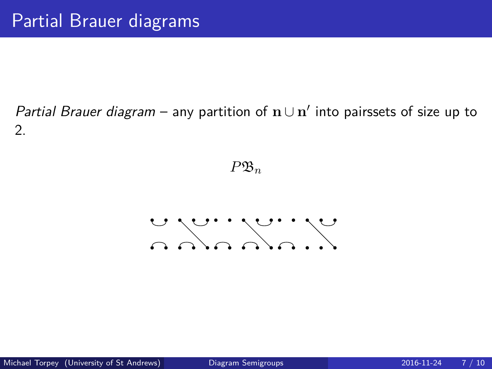#### Partial Brauer diagram – any partition of  $n ∪ n'$  into pairssets of size up to 2.

 $P\mathfrak{B}_n$ 

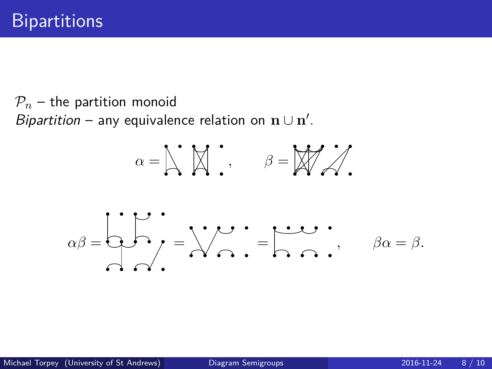$P_n$  – the partition monoid Bipartition – any equivalence relation on  $\mathbf{n} \cup \mathbf{n}'$ .

$$
\alpha = \left| \bigwedge^{\bullet} \left[ \bigwedge^{\bullet} \right] \right|, \qquad \beta = \left| \bigwedge^{\bullet} \bigwedge^{\bullet} \right|.
$$

$$
\alpha\beta=\begin{matrix}\cdot&\cdot\cdot\cdot\\ \cdot&\cdot\cdot\\ \cdot&\cdot\cdot\end{matrix}=\begin{matrix}\cdot&\cdot\cdot\\ \cdot&\cdot\\ \cdot&\cdot\end{matrix}=\begin{matrix}\cdot&\cdot\cdot\\ \cdot&\cdot\\ \cdot&\cdot\end{matrix},\qquad\beta\alpha=\beta.
$$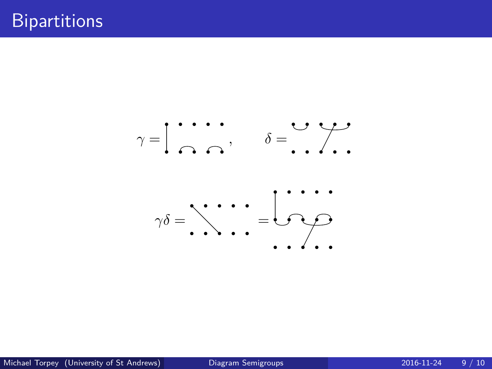